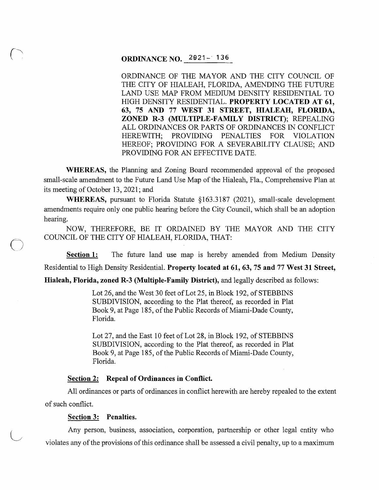# ORDINANCE NO. 2921-· 136

ORDINANCE OF THE MAYOR AND THE CITY COUNCIL OF THE CITY OF HIALEAH, FLORIDA, AMENDING THE FUTURE LAND USE MAP FROM MEDIUM DENSITY RESIDENTIAL TO HIGH DENSITY RESIDENTIAL. PROPERTY LOCATED AT 61, 63, 75 AND 77 WEST 31 STREET, HIALEAH, FLORIDA, ZONED R-3 (MULTIPLE-FAMILY DISTRICT); REPEALING ALL ORDINANCES OR PARTS OF ORDINANCES IN CONFLICT HEREWITH; PROVIDING PENALTIES FOR VIOLATION HEREOF; PROVIDING FOR A SEVERABILITY CLAUSE; AND PROVIDING FOR AN EFFECTIVE DATE.

WHEREAS, the Planning and Zoning Board recommended approval of the proposed small-scale amendment to the Future Land Use Map of the Hialeah, Fla., Comprehensive Plan at its meeting of October 13, 2021; and

WHEREAS, pursuant to Florida Statute §163.3187 (2021), small-scale development amendments require only one public hearing before the City Council, which shall be an adoption hearing.

NOW, THEREFORE, BE IT ORDAINED BY THE MAYOR AND THE CITY COUNCIL OF THE CITY OF HIALEAH, FLORIDA, THAT:

Section 1: The future land use map is hereby amended from Medium Density Residential to High Density Residential. Property located at 61, 63, 75 and 77 West 31 Street,

Hialeah, Florida, zoned R-3 (Multiple-Family District), and legally described as follows:

Lot 26, and the West 30 feet of Lot 25, in Block 192, of STEBBINS SUBDIVISION, according to the Plat thereof, as recorded in Plat Book 9, at Page 185, of the Public Records of Miami-Dade County, Florida.

Lot 27, and the East 10 feet of Lot 28, in Block 192, of STEBBINS SUBDIVISION, according to the Plat thereof, as recorded in Plat Book 9, at Page 185, of the Public Records of Miami-Dade County, Florida.

#### Section 2: Repeal of Ordinances in Conflict.

All ordinances or parts of ordinances in conflict herewith are hereby repealed to the extent of such conflict.

# Section 3: Penalties.

 $\sim$  $\overline{\phantom{0}}$ 

 $\bigcirc$ 

 $\bigcup$ 

Any person, business, association, corporation, partnership or other legal entity who violates any of the provisions of this ordinance shall be assessed a civil penalty, up to a maximum